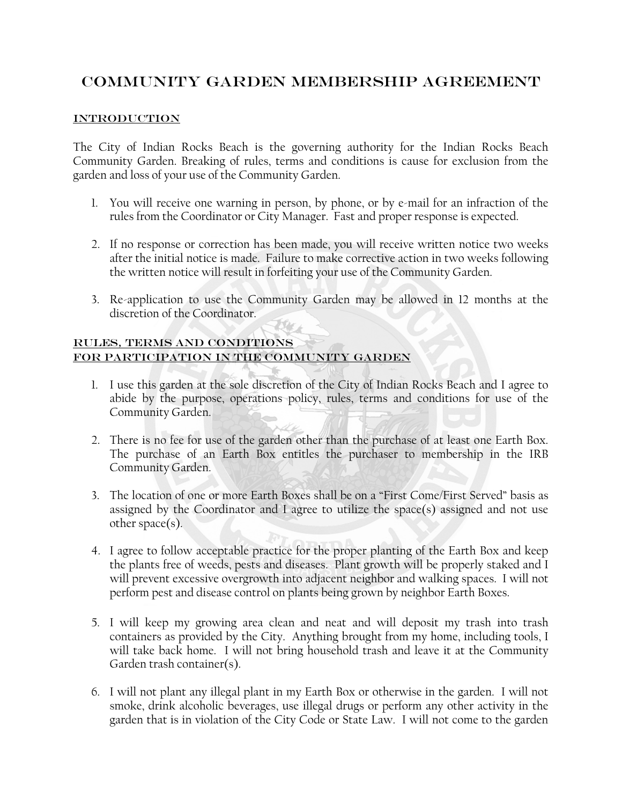## COMMUNITY GARDEN MEMBERSHIP AGREEMENT

## **INTRODUCTION**

The City of Indian Rocks Beach is the governing authority for the Indian Rocks Beach Community Garden. Breaking of rules, terms and conditions is cause for exclusion from the garden and loss of your use of the Community Garden.

- 1. You will receive one warning in person, by phone, or by e-mail for an infraction of the rules from the Coordinator or City Manager. Fast and proper response is expected.
- 2. If no response or correction has been made, you will receive written notice two weeks after the initial notice is made. Failure to make corrective action in two weeks following the written notice will result in forfeiting your use of the Community Garden.
- 3. Re-application to use the Community Garden may be allowed in 12 months at the discretion of the Coordinator.

## RULES, TERMS AND CONDITIONS FOR PARTICIPATION IN THE COMMUNITY GARDEN

- 1. I use this garden at the sole discretion of the City of Indian Rocks Beach and I agree to abide by the purpose, operations policy, rules, terms and conditions for use of the Community Garden.
- 2. There is no fee for use of the garden other than the purchase of at least one Earth Box. The purchase of an Earth Box entitles the purchaser to membership in the IRB Community Garden.
- 3. The location of one or more Earth Boxes shall be on a "First Come/First Served" basis as assigned by the Coordinator and I agree to utilize the space(s) assigned and not use other space(s).
- 4. I agree to follow acceptable practice for the proper planting of the Earth Box and keep the plants free of weeds, pests and diseases. Plant growth will be properly staked and I will prevent excessive overgrowth into adjacent neighbor and walking spaces. I will not perform pest and disease control on plants being grown by neighbor Earth Boxes.
- 5. I will keep my growing area clean and neat and will deposit my trash into trash containers as provided by the City. Anything brought from my home, including tools, I will take back home. I will not bring household trash and leave it at the Community Garden trash container(s).
- 6. I will not plant any illegal plant in my Earth Box or otherwise in the garden. I will not smoke, drink alcoholic beverages, use illegal drugs or perform any other activity in the garden that is in violation of the City Code or State Law. I will not come to the garden